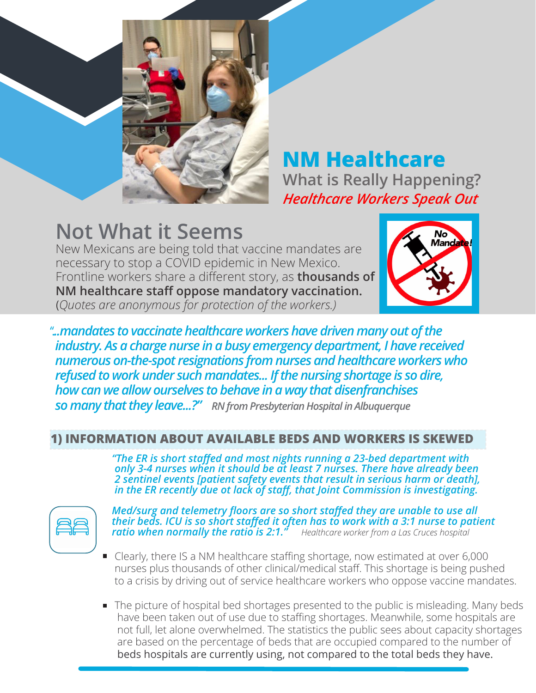

**NM Healthcare What is Really Happening?** *Healthcare Workers Speak Out*

# **Not What it Seems**

New Mexicans are being told that vaccine mandates are necessary to stop a COVID epidemic in New Mexico. Frontline workers share a different story, as **thousands of NM healthcare staff oppose mandatory vaccination.** (*Quotes are anonymous for protection of the workers.)*



".*..mandates to vaccinate healthcare workers have driven many out of the industry. As a charge nurse in a busy emergency department, I have received numerous on-the-spot resignations from nurses and healthcare workers who refused to work under such mandates... If the nursing shortage is so dire, how can we allow ourselves to behave in a way that disenfranchises so many that they leave...?" RN from Presbyterian Hospital in Albuquerque*

#### **1) INFORMATION ABOUT AVAILABLE BEDS AND WORKERS IS SKEWED**

*"The ER is short staffed and most nights running a 23-bed department with only 3-4 nurses when it should be at least 7 nurses. There have already been 2 sentinel events [patient safety events that result in serious harm or death], in the ER recently due ot lack of staff, that Joint Commission is investigating.*



*Med/surg and telemetry floors are so short staffed they are unable to use all their beds. ICU is so short staffed it often has to work with a 3:1 nurse to patient ratio when normally the ratio is 2:1." Healthcare worker from a Las Cruces hospital*

- Clearly, there IS a NM healthcare staffing shortage, now estimated at over 6,000 nurses plus thousands of other clinical/medical staff. This shortage is being pushed to a crisis by driving out of service healthcare workers who oppose vaccine mandates.
- The picture of hospital bed shortages presented to the public is misleading. Many beds have been taken out of use due to staffing shortages. Meanwhile, some hospitals are not full, let alone overwhelmed. The statistics the public sees about capacity shortages are based on the percentage of beds that are occupied compared to the number of beds hospitals are currently using, not compared to the total beds they have.